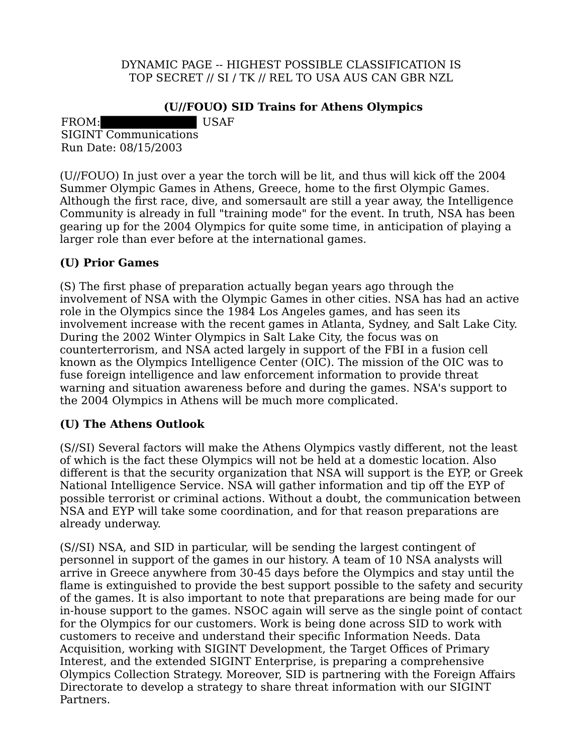DYNAMIC PAGE -- HIGHEST POSSIBLE CLASSIFICATION IS TOP SECRET // SI / TK // REL TO USA AUS CAN GBR NZL

## **(U//FOUO) SID Trains for Athens Olympics**

FROM: USAF SIGINT Communications Run Date: 08/15/2003

(U//FOUO) In just over a year the torch will be lit, and thus will kick off the 2004 Summer Olympic Games in Athens, Greece, home to the first Olympic Games. Although the first race, dive, and somersault are still a year away, the Intelligence Community is already in full "training mode" for the event. In truth, NSA has been gearing up for the 2004 Olympics for quite some time, in anticipation of playing a larger role than ever before at the international games.

## **(U) Prior Games**

(S) The first phase of preparation actually began years ago through the involvement of NSA with the Olympic Games in other cities. NSA has had an active role in the Olympics since the 1984 Los Angeles games, and has seen its involvement increase with the recent games in Atlanta, Sydney, and Salt Lake City. During the 2002 Winter Olympics in Salt Lake City, the focus was on counterterrorism, and NSA acted largely in support of the FBI in a fusion cell known as the Olympics Intelligence Center (OIC). The mission of the OIC was to fuse foreign intelligence and law enforcement information to provide threat warning and situation awareness before and during the games. NSA's support to the 2004 Olympics in Athens will be much more complicated.

## **(U) The Athens Outlook**

(S//SI) Several factors will make the Athens Olympics vastly different, not the least of which is the fact these Olympics will not be held at a domestic location. Also different is that the security organization that NSA will support is the EYP, or Greek National Intelligence Service. NSA will gather information and tip off the EYP of possible terrorist or criminal actions. Without a doubt, the communication between NSA and EYP will take some coordination, and for that reason preparations are already underway.

(S//SI) NSA, and SID in particular, will be sending the largest contingent of personnel in support of the games in our history. A team of 10 NSA analysts will arrive in Greece anywhere from 30-45 days before the Olympics and stay until the flame is extinguished to provide the best support possible to the safety and security of the games. It is also important to note that preparations are being made for our in-house support to the games. NSOC again will serve as the single point of contact for the Olympics for our customers. Work is being done across SID to work with customers to receive and understand their specific Information Needs. Data Acquisition, working with SIGINT Development, the Target Offices of Primary Interest, and the extended SIGINT Enterprise, is preparing a comprehensive Olympics Collection Strategy. Moreover, SID is partnering with the Foreign Affairs Directorate to develop a strategy to share threat information with our SIGINT Partners.